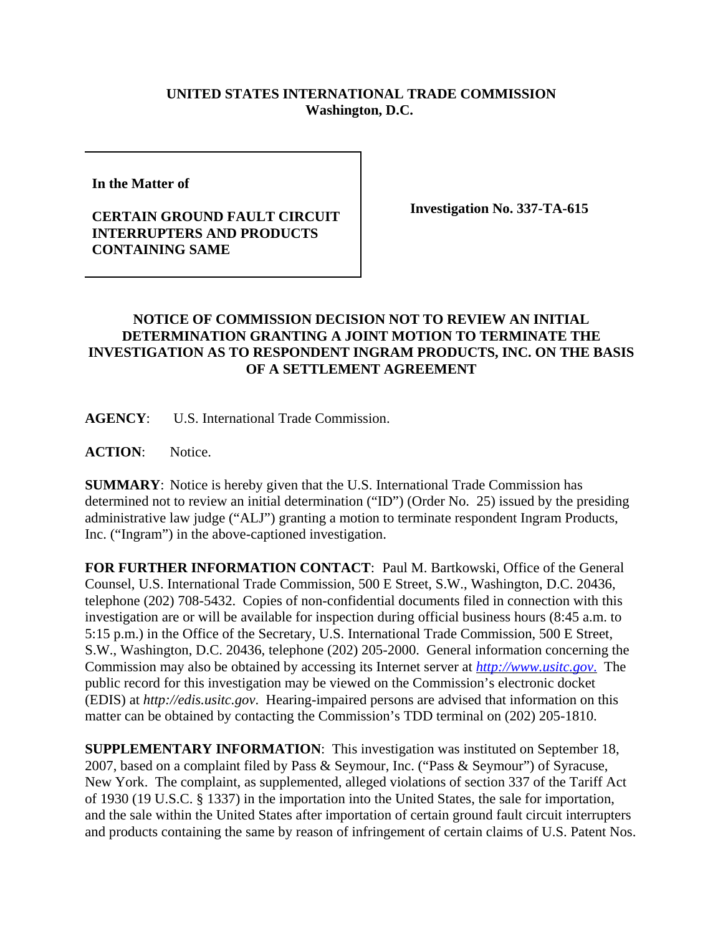## **UNITED STATES INTERNATIONAL TRADE COMMISSION Washington, D.C.**

**In the Matter of** 

## **CERTAIN GROUND FAULT CIRCUIT INTERRUPTERS AND PRODUCTS CONTAINING SAME**

**Investigation No. 337-TA-615**

## **NOTICE OF COMMISSION DECISION NOT TO REVIEW AN INITIAL DETERMINATION GRANTING A JOINT MOTION TO TERMINATE THE INVESTIGATION AS TO RESPONDENT INGRAM PRODUCTS, INC. ON THE BASIS OF A SETTLEMENT AGREEMENT**

**AGENCY**: U.S. International Trade Commission.

**ACTION**: Notice.

**SUMMARY**: Notice is hereby given that the U.S. International Trade Commission has determined not to review an initial determination ("ID") (Order No. 25) issued by the presiding administrative law judge ("ALJ") granting a motion to terminate respondent Ingram Products, Inc. ("Ingram") in the above-captioned investigation.

**FOR FURTHER INFORMATION CONTACT**: Paul M. Bartkowski, Office of the General Counsel, U.S. International Trade Commission, 500 E Street, S.W., Washington, D.C. 20436, telephone (202) 708-5432. Copies of non-confidential documents filed in connection with this investigation are or will be available for inspection during official business hours (8:45 a.m. to 5:15 p.m.) in the Office of the Secretary, U.S. International Trade Commission, 500 E Street, S.W., Washington, D.C. 20436, telephone (202) 205-2000. General information concerning the Commission may also be obtained by accessing its Internet server at *http://www.usitc.gov*. The public record for this investigation may be viewed on the Commission's electronic docket (EDIS) at *http://edis.usitc.gov*. Hearing-impaired persons are advised that information on this matter can be obtained by contacting the Commission's TDD terminal on (202) 205-1810.

**SUPPLEMENTARY INFORMATION**: This investigation was instituted on September 18, 2007, based on a complaint filed by Pass & Seymour, Inc. ("Pass & Seymour") of Syracuse, New York. The complaint, as supplemented, alleged violations of section 337 of the Tariff Act of 1930 (19 U.S.C. § 1337) in the importation into the United States, the sale for importation, and the sale within the United States after importation of certain ground fault circuit interrupters and products containing the same by reason of infringement of certain claims of U.S. Patent Nos.